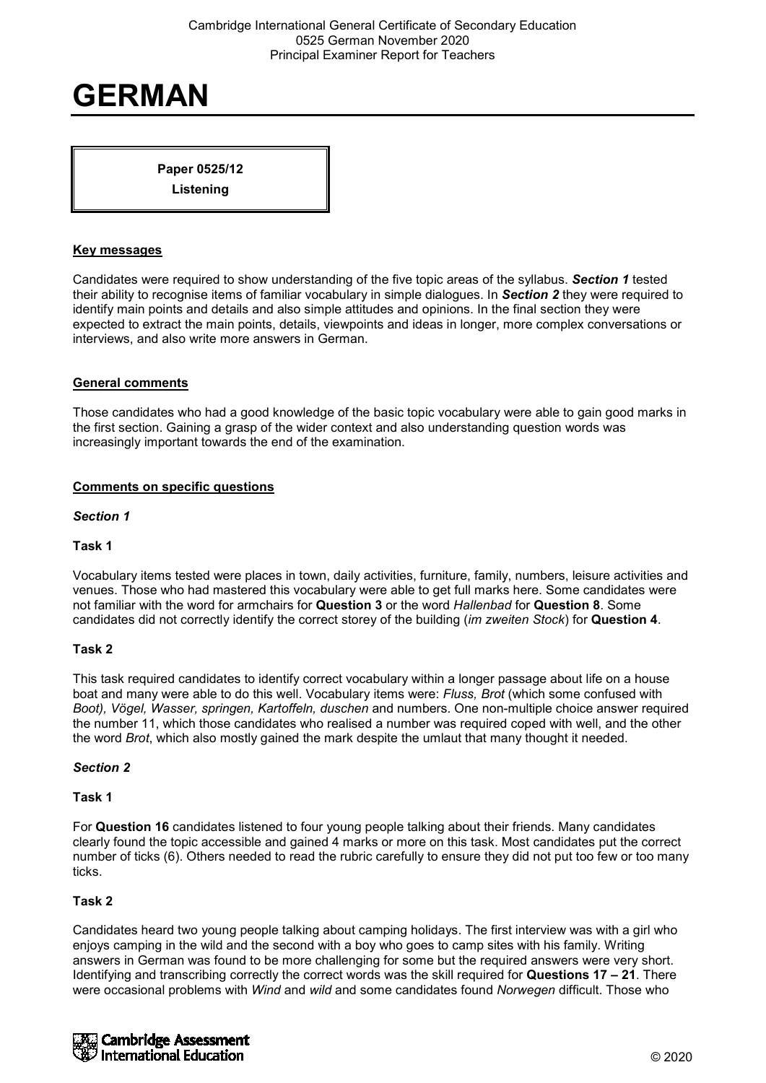# **GERMAN**

**Paper 0525/12**

**Listening**

# **Key messages**

Candidates were required to show understanding of the five topic areas of the syllabus. *Section 1* tested their ability to recognise items of familiar vocabulary in simple dialogues. In *Section 2* they were required to identify main points and details and also simple attitudes and opinions. In the final section they were expected to extract the main points, details, viewpoints and ideas in longer, more complex conversations or interviews, and also write more answers in German.

## **General comments**

Those candidates who had a good knowledge of the basic topic vocabulary were able to gain good marks in the first section. Gaining a grasp of the wider context and also understanding question words was increasingly important towards the end of the examination.

## **Comments on specific questions**

*Section 1*

# **Task 1**

Vocabulary items tested were places in town, daily activities, furniture, family, numbers, leisure activities and venues. Those who had mastered this vocabulary were able to get full marks here. Some candidates were not familiar with the word for armchairs for **Question 3** or the word *Hallenbad* for **Question 8**. Some candidates did not correctly identify the correct storey of the building (*im zweiten Stock*) for **Question 4**.

#### **Task 2**

This task required candidates to identify correct vocabulary within a longer passage about life on a house boat and many were able to do this well. Vocabulary items were: *Fluss, Brot* (which some confused with *Boot), Vögel, Wasser, springen, Kartoffeln, duschen* and numbers. One non-multiple choice answer required the number 11, which those candidates who realised a number was required coped with well, and the other the word *Brot*, which also mostly gained the mark despite the umlaut that many thought it needed.

#### *Section 2*

#### **Task 1**

For **Question 16** candidates listened to four young people talking about their friends. Many candidates clearly found the topic accessible and gained 4 marks or more on this task. Most candidates put the correct number of ticks (6). Others needed to read the rubric carefully to ensure they did not put too few or too many ticks.

# **Task 2**

Candidates heard two young people talking about camping holidays. The first interview was with a girl who enjoys camping in the wild and the second with a boy who goes to camp sites with his family. Writing answers in German was found to be more challenging for some but the required answers were very short. Identifying and transcribing correctly the correct words was the skill required for **Questions 17 – 21**. There were occasional problems with *Wind* and *wild* and some candidates found *Norwegen* difficult. Those who

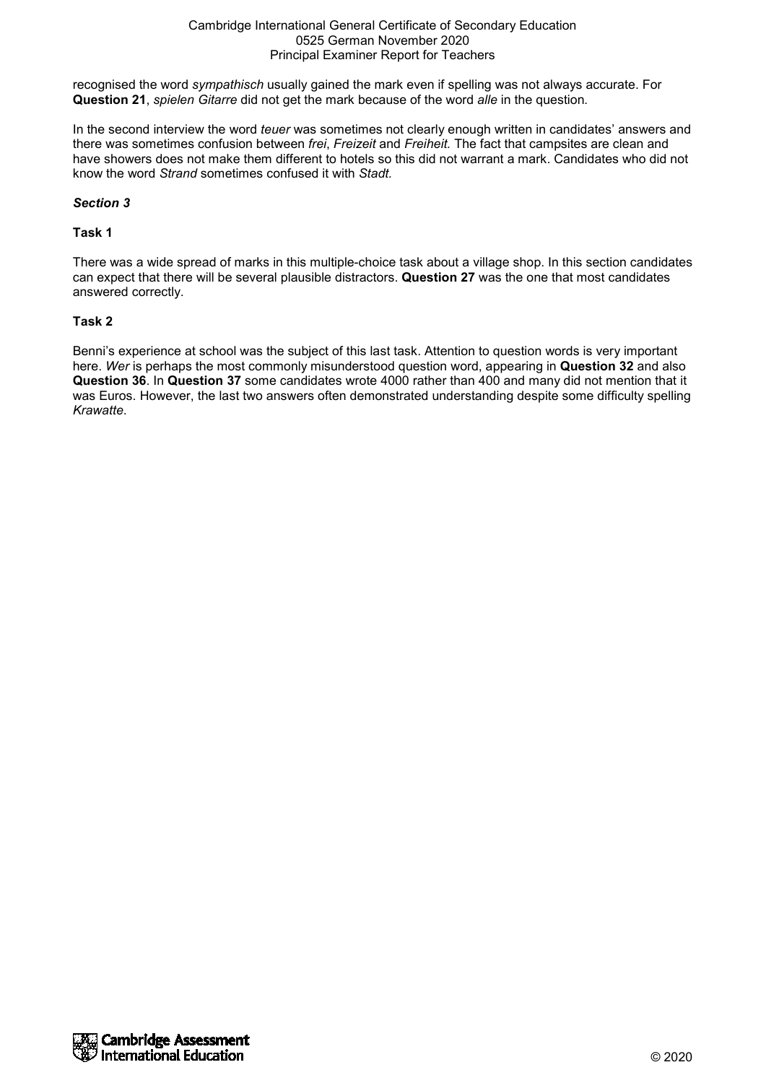recognised the word *sympathisch* usually gained the mark even if spelling was not always accurate. For **Question 21**, *spielen Gitarre* did not get the mark because of the word *alle* in the question*.*

In the second interview the word *teuer* was sometimes not clearly enough written in candidates' answers and there was sometimes confusion between *frei*, *Freizeit* and *Freiheit.* The fact that campsites are clean and have showers does not make them different to hotels so this did not warrant a mark. Candidates who did not know the word *Strand* sometimes confused it with *Stadt.*

## *Section 3*

## **Task 1**

There was a wide spread of marks in this multiple-choice task about a village shop. In this section candidates can expect that there will be several plausible distractors. **Question 27** was the one that most candidates answered correctly.

## **Task 2**

Benni's experience at school was the subject of this last task. Attention to question words is very important here. *Wer* is perhaps the most commonly misunderstood question word, appearing in **Question 32** and also **Question 36**. In **Question 37** some candidates wrote 4000 rather than 400 and many did not mention that it was Euros. However, the last two answers often demonstrated understanding despite some difficulty spelling *Krawatte*.

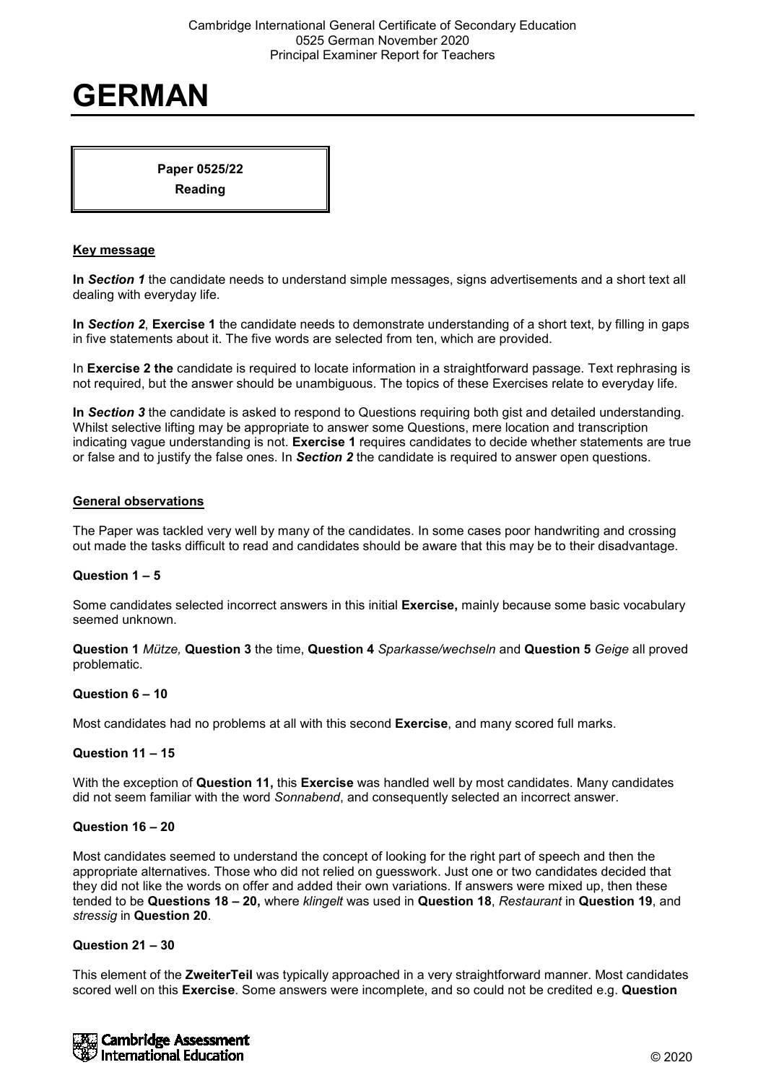# **GERMAN**

**Paper 0525/22 Reading**

#### **Key message**

**In** *Section 1* the candidate needs to understand simple messages, signs advertisements and a short text all dealing with everyday life.

**In** *Section 2*, **Exercise 1** the candidate needs to demonstrate understanding of a short text, by filling in gaps in five statements about it. The five words are selected from ten, which are provided.

In **Exercise 2 the** candidate is required to locate information in a straightforward passage. Text rephrasing is not required, but the answer should be unambiguous. The topics of these Exercises relate to everyday life.

**In** *Section 3* the candidate is asked to respond to Questions requiring both gist and detailed understanding. Whilst selective lifting may be appropriate to answer some Questions, mere location and transcription indicating vague understanding is not. **Exercise 1** requires candidates to decide whether statements are true or false and to justify the false ones. In *Section 2* the candidate is required to answer open questions.

## **General observations**

The Paper was tackled very well by many of the candidates. In some cases poor handwriting and crossing out made the tasks difficult to read and candidates should be aware that this may be to their disadvantage.

#### **Question 1 – 5**

Some candidates selected incorrect answers in this initial **Exercise,** mainly because some basic vocabulary seemed unknown.

**Question 1** *Mütze,* **Question 3** the time, **Question 4** *Sparkasse/wechseln* and **Question 5** *Geige* all proved problematic.

#### **Question 6 – 10**

Most candidates had no problems at all with this second **Exercise**, and many scored full marks.

#### **Question 11 – 15**

With the exception of **Question 11,** this **Exercise** was handled well by most candidates. Many candidates did not seem familiar with the word *Sonnabend*, and consequently selected an incorrect answer.

#### **Question 16 – 20**

Most candidates seemed to understand the concept of looking for the right part of speech and then the appropriate alternatives. Those who did not relied on guesswork. Just one or two candidates decided that they did not like the words on offer and added their own variations. If answers were mixed up, then these tended to be **Questions 18 – 20,** where *klingelt* was used in **Question 18**, *Restaurant* in **Question 19**, and *stressig* in **Question 20**.

#### **Question 21 – 30**

This element of the **ZweiterTeil** was typically approached in a very straightforward manner. Most candidates scored well on this **Exercise**. Some answers were incomplete, and so could not be credited e.g. **Question**

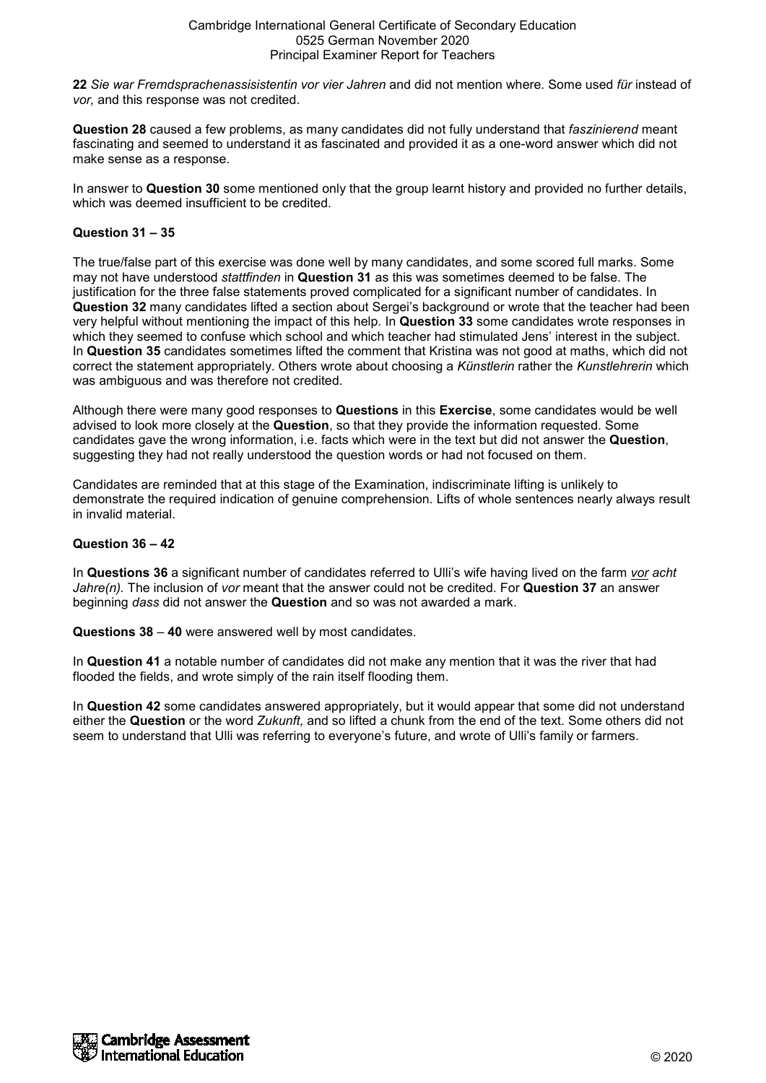**22** *Sie war Fremdsprachenassisistentin vor vier Jahren* and did not mention where. Some used *für* instead of *vor,* and this response was not credited.

**Question 28** caused a few problems, as many candidates did not fully understand that *faszinierend* meant fascinating and seemed to understand it as fascinated and provided it as a one-word answer which did not make sense as a response.

In answer to **Question 30** some mentioned only that the group learnt history and provided no further details, which was deemed insufficient to be credited.

# **Question 31 – 35**

The true/false part of this exercise was done well by many candidates, and some scored full marks. Some may not have understood *stattfinden* in **Question 31** as this was sometimes deemed to be false. The justification for the three false statements proved complicated for a significant number of candidates. In **Question 32** many candidates lifted a section about Sergei's background or wrote that the teacher had been very helpful without mentioning the impact of this help*.* In **Question 33** some candidates wrote responses in which they seemed to confuse which school and which teacher had stimulated Jens' interest in the subject. In **Question 35** candidates sometimes lifted the comment that Kristina was not good at maths, which did not correct the statement appropriately. Others wrote about choosing a *Künstlerin* rather the *Kunstlehrerin* which was ambiguous and was therefore not credited.

Although there were many good responses to **Questions** in this **Exercise**, some candidates would be well advised to look more closely at the **Question**, so that they provide the information requested. Some candidates gave the wrong information, i.e. facts which were in the text but did not answer the **Question**, suggesting they had not really understood the question words or had not focused on them.

Candidates are reminded that at this stage of the Examination, indiscriminate lifting is unlikely to demonstrate the required indication of genuine comprehension. Lifts of whole sentences nearly always result in invalid material.

## **Question 36 – 42**

In **Questions 36** a significant number of candidates referred to Ulli's wife having lived on the farm *vor acht Jahre(n).* The inclusion of *vor* meant that the answer could not be credited. For **Question 37** an answer beginning *dass* did not answer the **Question** and so was not awarded a mark.

**Questions 38** – **40** were answered well by most candidates.

In **Question 41** a notable number of candidates did not make any mention that it was the river that had flooded the fields, and wrote simply of the rain itself flooding them.

In **Question 42** some candidates answered appropriately, but it would appear that some did not understand either the **Question** or the word *Zukunft,* and so lifted a chunk from the end of the text. Some others did not seem to understand that Ulli was referring to everyone's future, and wrote of Ulli's family or farmers.

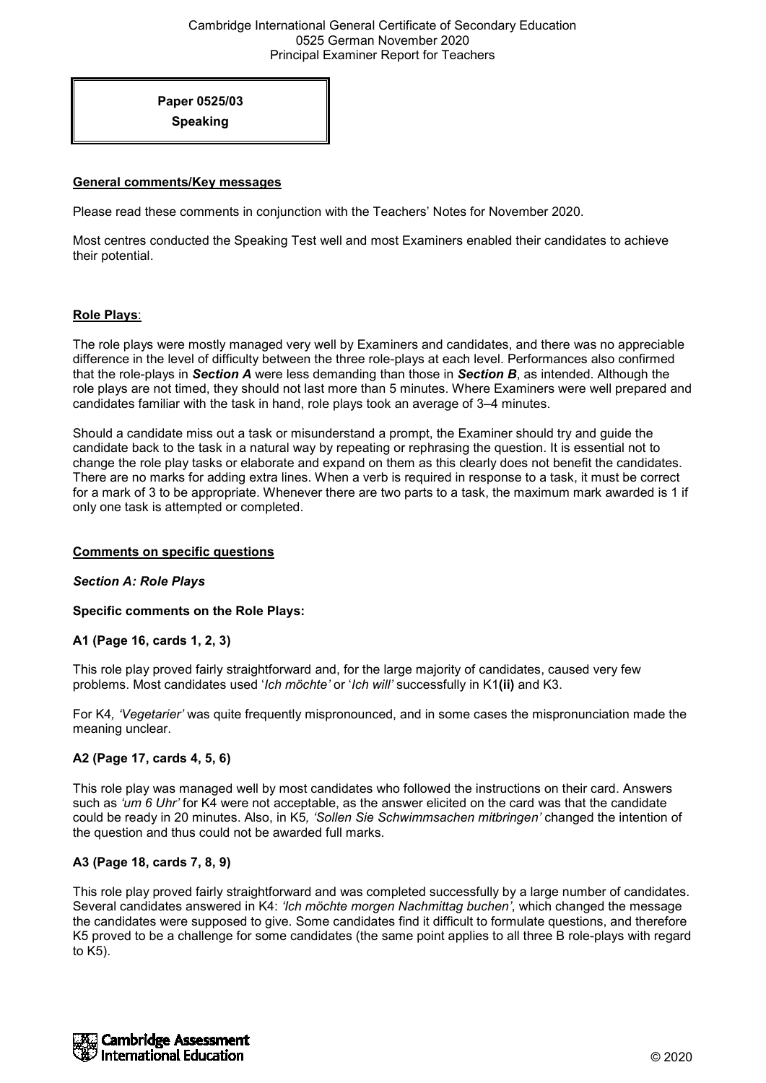**Paper 0525/03 Speaking**

## **General comments/Key messages**

Please read these comments in conjunction with the Teachers' Notes for November 2020.

Most centres conducted the Speaking Test well and most Examiners enabled their candidates to achieve their potential.

## **Role Plays**:

The role plays were mostly managed very well by Examiners and candidates, and there was no appreciable difference in the level of difficulty between the three role-plays at each level. Performances also confirmed that the role-plays in *Section A* were less demanding than those in *Section B*, as intended. Although the role plays are not timed, they should not last more than 5 minutes. Where Examiners were well prepared and candidates familiar with the task in hand, role plays took an average of 3–4 minutes.

Should a candidate miss out a task or misunderstand a prompt, the Examiner should try and guide the candidate back to the task in a natural way by repeating or rephrasing the question. It is essential not to change the role play tasks or elaborate and expand on them as this clearly does not benefit the candidates. There are no marks for adding extra lines. When a verb is required in response to a task, it must be correct for a mark of 3 to be appropriate. Whenever there are two parts to a task, the maximum mark awarded is 1 if only one task is attempted or completed.

#### **Comments on specific questions**

#### *Section A: Role Plays*

# **Specific comments on the Role Plays:**

# **A1 (Page 16, cards 1, 2, 3)**

This role play proved fairly straightforward and, for the large majority of candidates, caused very few problems. Most candidates used '*Ich möchte'* or '*Ich will'* successfully in K1**(ii)** and K3.

For K4*, 'Vegetarier'* was quite frequently mispronounced, and in some cases the mispronunciation made the meaning unclear.

# **A2 (Page 17, cards 4, 5, 6)**

This role play was managed well by most candidates who followed the instructions on their card. Answers such as *'um 6 Uhr'* for K4 were not acceptable, as the answer elicited on the card was that the candidate could be ready in 20 minutes. Also, in K5*, 'Sollen Sie Schwimmsachen mitbringen'* changed the intention of the question and thus could not be awarded full marks.

# **A3 (Page 18, cards 7, 8, 9)**

This role play proved fairly straightforward and was completed successfully by a large number of candidates. Several candidates answered in K4: *'Ich möchte morgen Nachmittag buchen'*, which changed the message the candidates were supposed to give. Some candidates find it difficult to formulate questions, and therefore K5 proved to be a challenge for some candidates (the same point applies to all three B role-plays with regard to K5).

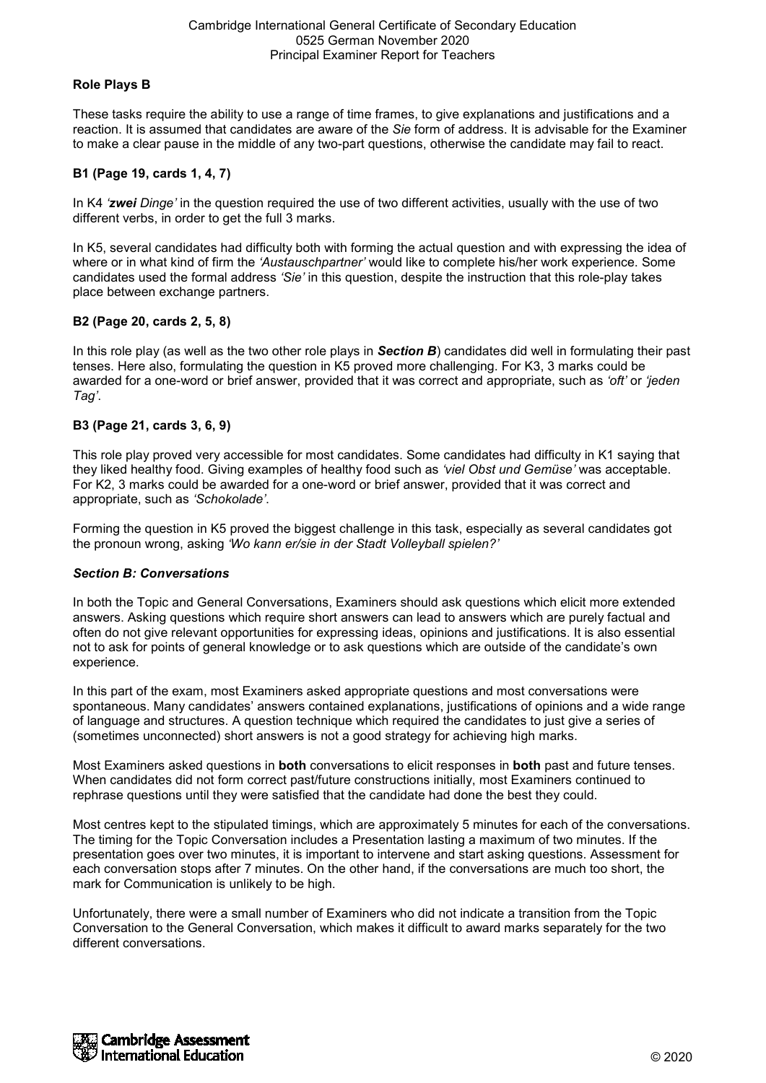# **Role Plays B**

These tasks require the ability to use a range of time frames, to give explanations and justifications and a reaction. It is assumed that candidates are aware of the *Sie* form of address. It is advisable for the Examiner to make a clear pause in the middle of any two-part questions, otherwise the candidate may fail to react.

# **B1 (Page 19, cards 1, 4, 7)**

In K4 *'zwei Dinge'* in the question required the use of two different activities, usually with the use of two different verbs, in order to get the full 3 marks.

In K5, several candidates had difficulty both with forming the actual question and with expressing the idea of where or in what kind of firm the *'Austauschpartner'* would like to complete his/her work experience. Some candidates used the formal address *'Sie'* in this question, despite the instruction that this role-play takes place between exchange partners.

## **B2 (Page 20, cards 2, 5, 8)**

In this role play (as well as the two other role plays in *Section B*) candidates did well in formulating their past tenses. Here also, formulating the question in K5 proved more challenging. For K3, 3 marks could be awarded for a one-word or brief answer, provided that it was correct and appropriate, such as *'oft'* or *'jeden Tag'*.

## **B3 (Page 21, cards 3, 6, 9)**

This role play proved very accessible for most candidates. Some candidates had difficulty in K1 saying that they liked healthy food. Giving examples of healthy food such as *'viel Obst und Gemüse'* was acceptable. For K2, 3 marks could be awarded for a one-word or brief answer, provided that it was correct and appropriate, such as *'Schokolade'*.

Forming the question in K5 proved the biggest challenge in this task, especially as several candidates got the pronoun wrong, asking *'Wo kann er/sie in der Stadt Volleyball spielen?'*

#### *Section B: Conversations*

In both the Topic and General Conversations, Examiners should ask questions which elicit more extended answers. Asking questions which require short answers can lead to answers which are purely factual and often do not give relevant opportunities for expressing ideas, opinions and justifications. It is also essential not to ask for points of general knowledge or to ask questions which are outside of the candidate's own experience.

In this part of the exam, most Examiners asked appropriate questions and most conversations were spontaneous. Many candidates' answers contained explanations, justifications of opinions and a wide range of language and structures. A question technique which required the candidates to just give a series of (sometimes unconnected) short answers is not a good strategy for achieving high marks.

Most Examiners asked questions in **both** conversations to elicit responses in **both** past and future tenses. When candidates did not form correct past/future constructions initially, most Examiners continued to rephrase questions until they were satisfied that the candidate had done the best they could.

Most centres kept to the stipulated timings, which are approximately 5 minutes for each of the conversations. The timing for the Topic Conversation includes a Presentation lasting a maximum of two minutes. If the presentation goes over two minutes, it is important to intervene and start asking questions. Assessment for each conversation stops after 7 minutes. On the other hand, if the conversations are much too short, the mark for Communication is unlikely to be high.

Unfortunately, there were a small number of Examiners who did not indicate a transition from the Topic Conversation to the General Conversation, which makes it difficult to award marks separately for the two different conversations.

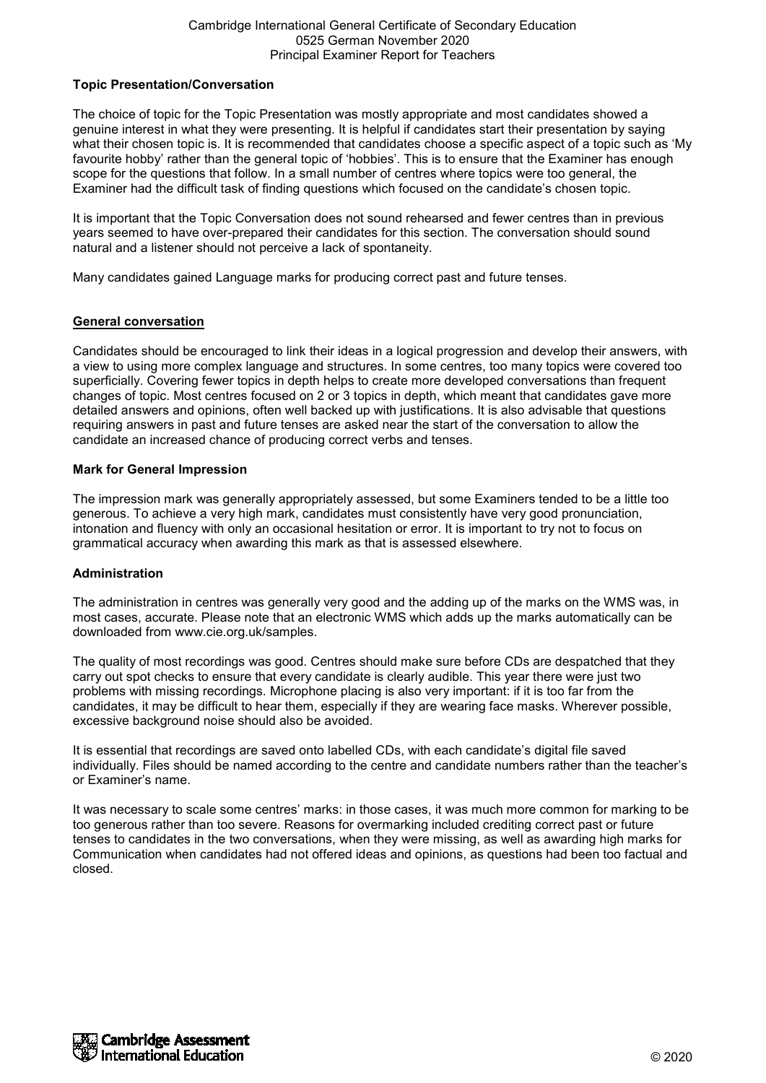# **Topic Presentation/Conversation**

The choice of topic for the Topic Presentation was mostly appropriate and most candidates showed a genuine interest in what they were presenting. It is helpful if candidates start their presentation by saying what their chosen topic is. It is recommended that candidates choose a specific aspect of a topic such as 'My favourite hobby' rather than the general topic of 'hobbies'. This is to ensure that the Examiner has enough scope for the questions that follow. In a small number of centres where topics were too general, the Examiner had the difficult task of finding questions which focused on the candidate's chosen topic.

It is important that the Topic Conversation does not sound rehearsed and fewer centres than in previous years seemed to have over-prepared their candidates for this section. The conversation should sound natural and a listener should not perceive a lack of spontaneity.

Many candidates gained Language marks for producing correct past and future tenses.

## **General conversation**

Candidates should be encouraged to link their ideas in a logical progression and develop their answers, with a view to using more complex language and structures. In some centres, too many topics were covered too superficially. Covering fewer topics in depth helps to create more developed conversations than frequent changes of topic. Most centres focused on 2 or 3 topics in depth, which meant that candidates gave more detailed answers and opinions, often well backed up with justifications. It is also advisable that questions requiring answers in past and future tenses are asked near the start of the conversation to allow the candidate an increased chance of producing correct verbs and tenses.

## **Mark for General Impression**

The impression mark was generally appropriately assessed, but some Examiners tended to be a little too generous. To achieve a very high mark, candidates must consistently have very good pronunciation, intonation and fluency with only an occasional hesitation or error. It is important to try not to focus on grammatical accuracy when awarding this mark as that is assessed elsewhere.

# **Administration**

The administration in centres was generally very good and the adding up of the marks on the WMS was, in most cases, accurate. Please note that an electronic WMS which adds up the marks automatically can be downloaded from www.cie.org.uk/samples.

The quality of most recordings was good. Centres should make sure before CDs are despatched that they carry out spot checks to ensure that every candidate is clearly audible. This year there were just two problems with missing recordings. Microphone placing is also very important: if it is too far from the candidates, it may be difficult to hear them, especially if they are wearing face masks. Wherever possible, excessive background noise should also be avoided.

It is essential that recordings are saved onto labelled CDs, with each candidate's digital file saved individually. Files should be named according to the centre and candidate numbers rather than the teacher's or Examiner's name.

It was necessary to scale some centres' marks: in those cases, it was much more common for marking to be too generous rather than too severe. Reasons for overmarking included crediting correct past or future tenses to candidates in the two conversations, when they were missing, as well as awarding high marks for Communication when candidates had not offered ideas and opinions, as questions had been too factual and closed.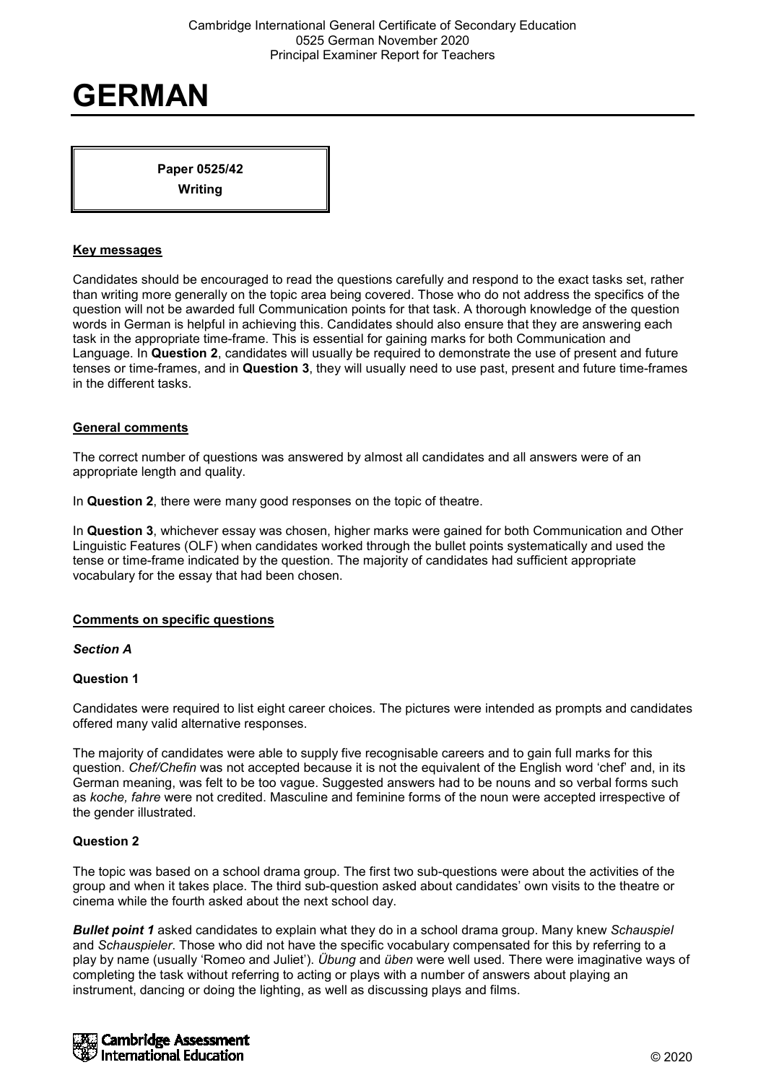# **GERMAN**

**Paper 0525/42**

**Writing**

# **Key messages**

Candidates should be encouraged to read the questions carefully and respond to the exact tasks set, rather than writing more generally on the topic area being covered. Those who do not address the specifics of the question will not be awarded full Communication points for that task. A thorough knowledge of the question words in German is helpful in achieving this. Candidates should also ensure that they are answering each task in the appropriate time-frame. This is essential for gaining marks for both Communication and Language. In **Question 2**, candidates will usually be required to demonstrate the use of present and future tenses or time-frames, and in **Question 3**, they will usually need to use past, present and future time-frames in the different tasks.

## **General comments**

The correct number of questions was answered by almost all candidates and all answers were of an appropriate length and quality.

In **Question 2**, there were many good responses on the topic of theatre.

In **Question 3**, whichever essay was chosen, higher marks were gained for both Communication and Other Linguistic Features (OLF) when candidates worked through the bullet points systematically and used the tense or time-frame indicated by the question. The majority of candidates had sufficient appropriate vocabulary for the essay that had been chosen.

# **Comments on specific questions**

#### *Section A*

# **Question 1**

Candidates were required to list eight career choices. The pictures were intended as prompts and candidates offered many valid alternative responses.

The majority of candidates were able to supply five recognisable careers and to gain full marks for this question. *Chef/Chefin* was not accepted because it is not the equivalent of the English word 'chef' and, in its German meaning, was felt to be too vague. Suggested answers had to be nouns and so verbal forms such as *koche, fahre* were not credited. Masculine and feminine forms of the noun were accepted irrespective of the gender illustrated.

# **Question 2**

The topic was based on a school drama group. The first two sub-questions were about the activities of the group and when it takes place. The third sub-question asked about candidates' own visits to the theatre or cinema while the fourth asked about the next school day.

*Bullet point 1* asked candidates to explain what they do in a school drama group. Many knew *Schauspiel*  and *Schauspieler*. Those who did not have the specific vocabulary compensated for this by referring to a play by name (usually 'Romeo and Juliet'). *Übung* and *üben* were well used. There were imaginative ways of completing the task without referring to acting or plays with a number of answers about playing an instrument, dancing or doing the lighting, as well as discussing plays and films.

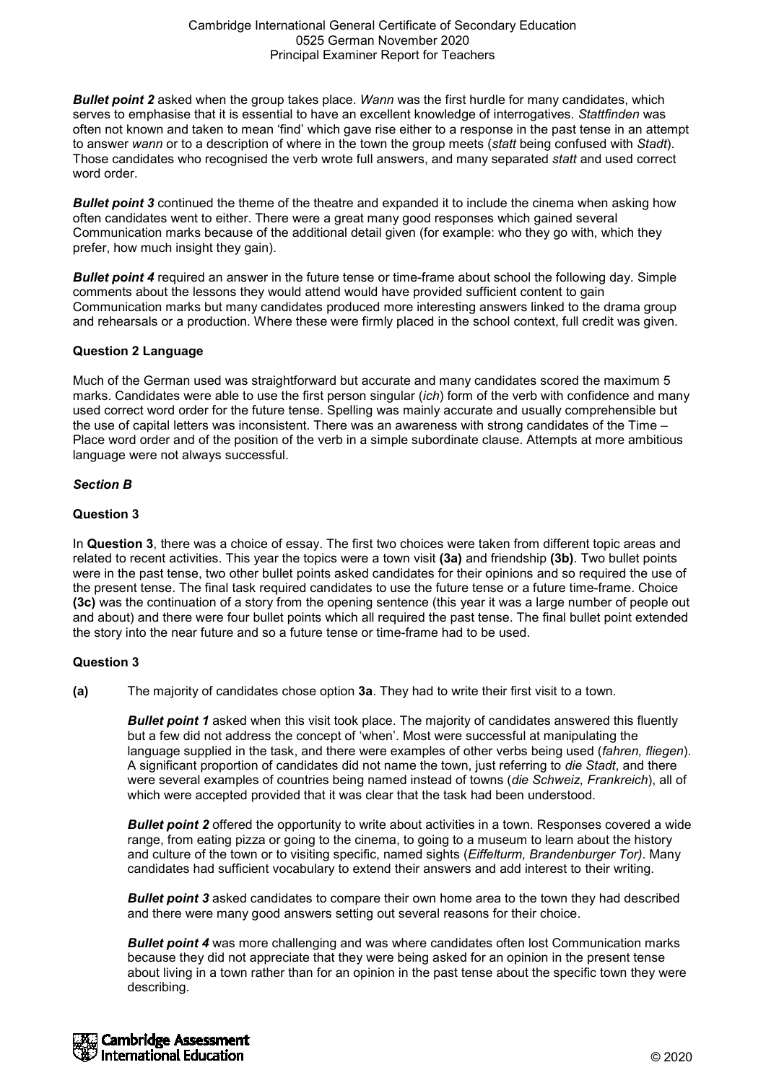**Bullet point 2** asked when the group takes place. *Wann* was the first hurdle for many candidates, which serves to emphasise that it is essential to have an excellent knowledge of interrogatives. *Stattfinden* was often not known and taken to mean 'find' which gave rise either to a response in the past tense in an attempt to answer *wann* or to a description of where in the town the group meets (*statt* being confused with *Stadt*). Those candidates who recognised the verb wrote full answers, and many separated *statt* and used correct word order.

*Bullet point 3* continued the theme of the theatre and expanded it to include the cinema when asking how often candidates went to either. There were a great many good responses which gained several Communication marks because of the additional detail given (for example: who they go with, which they prefer, how much insight they gain).

*Bullet point 4* required an answer in the future tense or time-frame about school the following day. Simple comments about the lessons they would attend would have provided sufficient content to gain Communication marks but many candidates produced more interesting answers linked to the drama group and rehearsals or a production. Where these were firmly placed in the school context, full credit was given.

# **Question 2 Language**

Much of the German used was straightforward but accurate and many candidates scored the maximum 5 marks. Candidates were able to use the first person singular (*ich*) form of the verb with confidence and many used correct word order for the future tense. Spelling was mainly accurate and usually comprehensible but the use of capital letters was inconsistent. There was an awareness with strong candidates of the Time – Place word order and of the position of the verb in a simple subordinate clause. Attempts at more ambitious language were not always successful.

# *Section B*

# **Question 3**

In **Question 3**, there was a choice of essay. The first two choices were taken from different topic areas and related to recent activities. This year the topics were a town visit **(3a)** and friendship **(3b)**. Two bullet points were in the past tense, two other bullet points asked candidates for their opinions and so required the use of the present tense. The final task required candidates to use the future tense or a future time-frame. Choice **(3c)** was the continuation of a story from the opening sentence (this year it was a large number of people out and about) and there were four bullet points which all required the past tense. The final bullet point extended the story into the near future and so a future tense or time-frame had to be used.

# **Question 3**

**(a)** The majority of candidates chose option **3a**. They had to write their first visit to a town.

**Bullet point 1** asked when this visit took place. The majority of candidates answered this fluently but a few did not address the concept of 'when'. Most were successful at manipulating the language supplied in the task, and there were examples of other verbs being used (*fahren, fliegen*). A significant proportion of candidates did not name the town, just referring to *die Stadt*, and there were several examples of countries being named instead of towns (*die Schweiz, Frankreich*), all of which were accepted provided that it was clear that the task had been understood.

**Bullet point 2** offered the opportunity to write about activities in a town. Responses covered a wide range, from eating pizza or going to the cinema, to going to a museum to learn about the history and culture of the town or to visiting specific, named sights (*Eiffelturm, Brandenburger Tor)*. Many candidates had sufficient vocabulary to extend their answers and add interest to their writing.

**Bullet point 3** asked candidates to compare their own home area to the town they had described and there were many good answers setting out several reasons for their choice.

*Bullet point 4* was more challenging and was where candidates often lost Communication marks because they did not appreciate that they were being asked for an opinion in the present tense about living in a town rather than for an opinion in the past tense about the specific town they were describing.

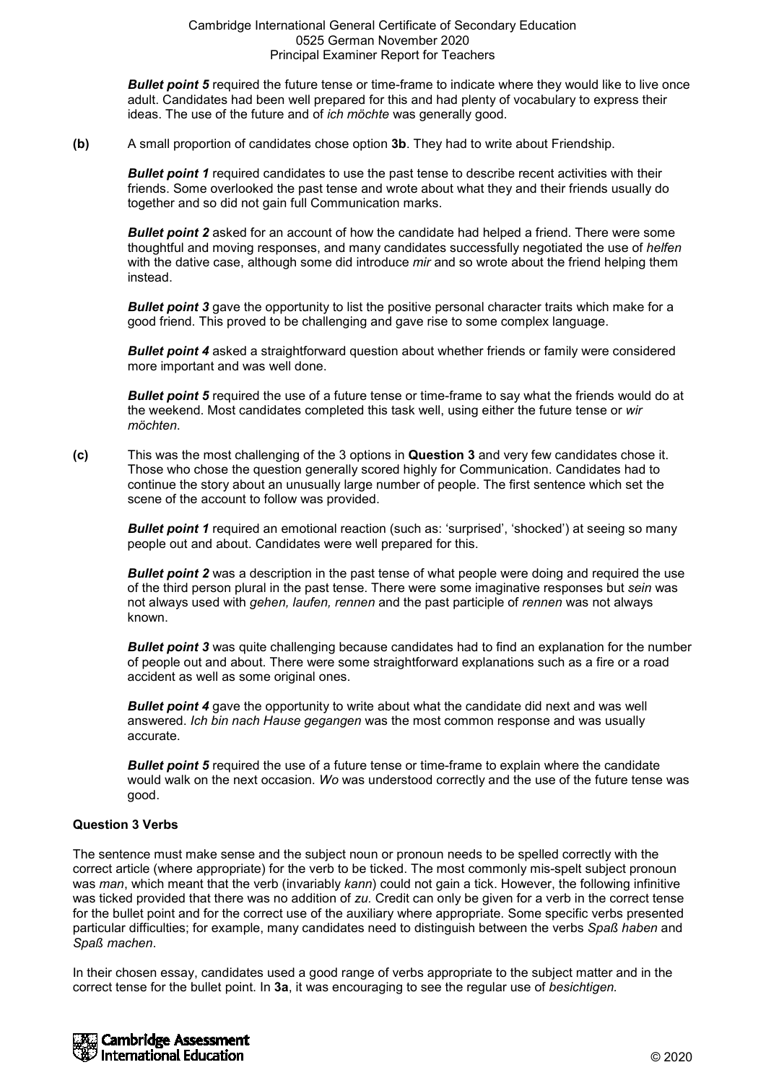**Bullet point 5** required the future tense or time-frame to indicate where they would like to live once adult. Candidates had been well prepared for this and had plenty of vocabulary to express their ideas. The use of the future and of *ich möchte* was generally good.

**(b)** A small proportion of candidates chose option **3b**. They had to write about Friendship.

*Bullet point 1* required candidates to use the past tense to describe recent activities with their friends. Some overlooked the past tense and wrote about what they and their friends usually do together and so did not gain full Communication marks.

**Bullet point 2** asked for an account of how the candidate had helped a friend. There were some thoughtful and moving responses, and many candidates successfully negotiated the use of *helfen*  with the dative case, although some did introduce *mir* and so wrote about the friend helping them instead.

**Bullet point 3** gave the opportunity to list the positive personal character traits which make for a good friend. This proved to be challenging and gave rise to some complex language.

**Bullet point 4** asked a straightforward question about whether friends or family were considered more important and was well done.

*Bullet point 5* required the use of a future tense or time-frame to say what the friends would do at the weekend. Most candidates completed this task well, using either the future tense or *wir möchten*.

**(c)** This was the most challenging of the 3 options in **Question 3** and very few candidates chose it. Those who chose the question generally scored highly for Communication. Candidates had to continue the story about an unusually large number of people. The first sentence which set the scene of the account to follow was provided.

**Bullet point 1** required an emotional reaction (such as: 'surprised', 'shocked') at seeing so many people out and about. Candidates were well prepared for this.

**Bullet point 2** was a description in the past tense of what people were doing and required the use of the third person plural in the past tense. There were some imaginative responses but *sein* was not always used with *gehen, laufen, rennen* and the past participle of *rennen* was not always known.

*Bullet point 3* was quite challenging because candidates had to find an explanation for the number of people out and about. There were some straightforward explanations such as a fire or a road accident as well as some original ones.

**Bullet point 4** gave the opportunity to write about what the candidate did next and was well answered. *Ich bin nach Hause gegangen* was the most common response and was usually accurate.

**Bullet point 5** required the use of a future tense or time-frame to explain where the candidate would walk on the next occasion. *Wo* was understood correctly and the use of the future tense was good.

# **Question 3 Verbs**

The sentence must make sense and the subject noun or pronoun needs to be spelled correctly with the correct article (where appropriate) for the verb to be ticked. The most commonly mis-spelt subject pronoun was *man*, which meant that the verb (invariably *kann*) could not gain a tick. However, the following infinitive was ticked provided that there was no addition of *zu.* Credit can only be given for a verb in the correct tense for the bullet point and for the correct use of the auxiliary where appropriate. Some specific verbs presented particular difficulties; for example, many candidates need to distinguish between the verbs *Spaß haben* and *Spaß machen*.

In their chosen essay, candidates used a good range of verbs appropriate to the subject matter and in the correct tense for the bullet point. In **3a**, it was encouraging to see the regular use of *besichtigen.*